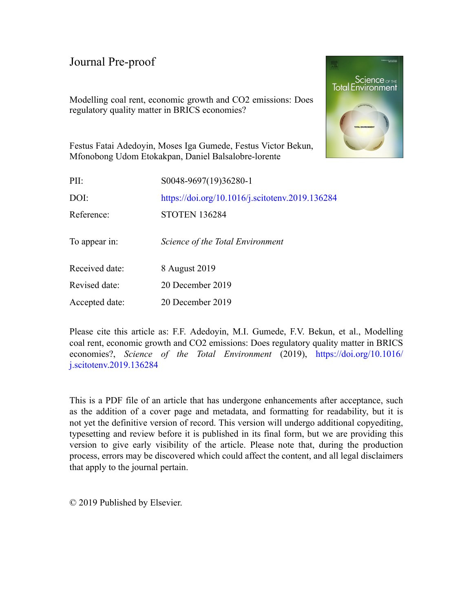Modelling coal rent, economic growth and CO2 emissions: Does regulatory quality matter in BRICS economies?



Festus Fatai Adedoyin, Moses Iga Gumede, Festus Victor Bekun, Mfonobong Udom Etokakpan, Daniel Balsalobre-lorente

| PII:           | S0048-9697(19)36280-1                           |
|----------------|-------------------------------------------------|
| DOI:           | https://doi.org/10.1016/j.scitotenv.2019.136284 |
| Reference:     | <b>STOTEN 136284</b>                            |
| To appear in:  | Science of the Total Environment                |
| Received date: | 8 August 2019                                   |
| Revised date:  | 20 December 2019                                |
| Accepted date: | 20 December 2019                                |

Please cite this article as: F.F. Adedoyin, M.I. Gumede, F.V. Bekun, et al., Modelling coal rent, economic growth and CO2 emissions: Does regulatory quality matter in BRICS economies?, *Science of the Total Environment* (2019), [https://doi.org/10.1016/](https://doi.org/10.1016/j.scitotenv.2019.136284) [j.scitotenv.2019.136284](https://doi.org/10.1016/j.scitotenv.2019.136284)

This is a PDF file of an article that has undergone enhancements after acceptance, such as the addition of a cover page and metadata, and formatting for readability, but it is not yet the definitive version of record. This version will undergo additional copyediting, typesetting and review before it is published in its final form, but we are providing this version to give early visibility of the article. Please note that, during the production process, errors may be discovered which could affect the content, and all legal disclaimers that apply to the journal pertain.

© 2019 Published by Elsevier.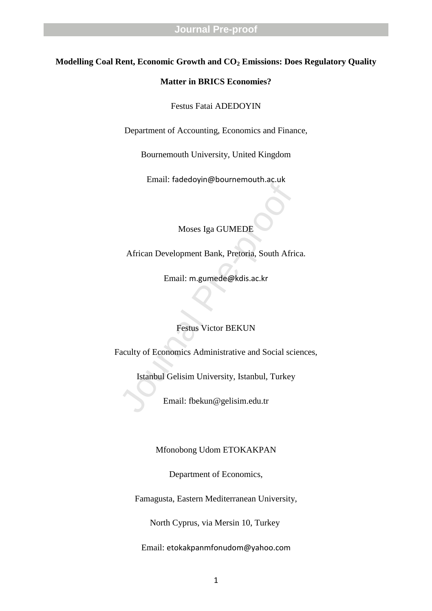### **Modelling Coal Rent, Economic Growth and CO <sup>2</sup> Emissions: Does Regulatory Quality**

#### **Matter in BRICS Economies?**

Festus Fatai ADEDOYIN

Department of Accounting, Economics and Finance,

Bournemouth University, United Kingdom

Email: fadedoyin@bournemouth.ac.uk

Moses Iga GUMEDE

African Development Bank, Pretoria, South Africa.

Email: m.gumede@kdis.ac.kr

### Festus Victor BEKUN

Moses Iga GUMEDE<br>
African Development Bank, Pretoria, South Afric<br>
Email: m.gumede@kdis.ac.kr<br>
Festus Victor BEKUN<br>
Prestus Victor BEKUN<br>
Prestus Victor BEKUN<br>
Stanbul Gelisim University, Istanbul, Turkey<br>
Email: fbekun@ge Faculty of Economics Administrative and Social sciences,

Istanbul Gelisim University, Istanbul, Turkey

Email: fbekun@gelisim.edu.tr

Mfonobong Udom ETOKAKPAN

Department of Economics,

Famagusta, Eastern Mediterranean University,

North Cyprus, via Mersin 10, Turkey

Email: etokakpanmfonudom@yahoo.com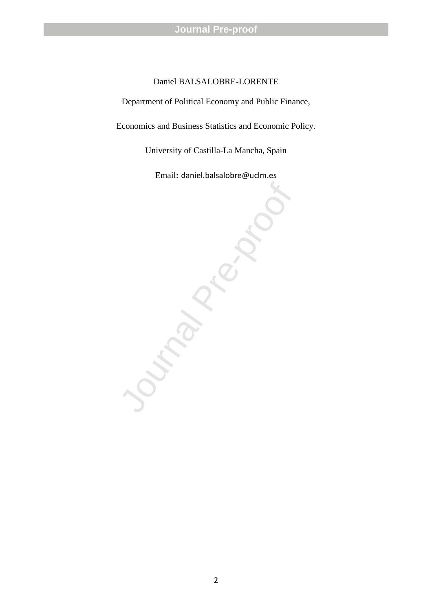### Daniel BALSALOBRE -LORENTE

Department of Political Economy and Public Finance,

Economics and Business Statistics and Economic Policy.

University of Castilla -La Mancha, Spain

Email**:** daniel.balsalobre@uclm.es

Journal Pre-proof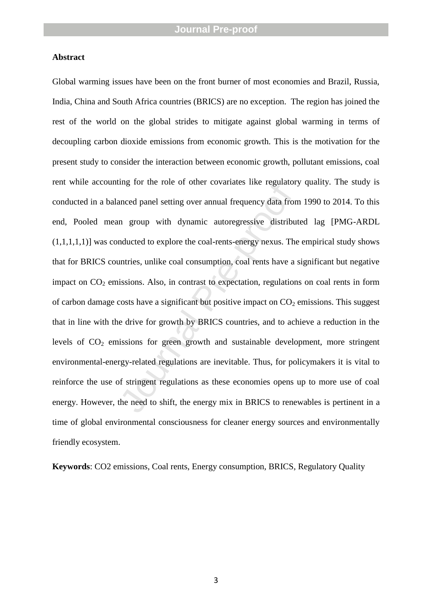### **Abstract**

Ing for the fole of other covariates fike regulator<br>anced panel setting over annual frequency data from<br>n group with dynamic autoregressive distribu<br>mducted to explore the coal-rents-energy nexus. The<br>untries, unlike coal Global warming issues have been on the front burner of most economies and Brazil, Russia, India, China and South Africa countries (BRICS) are no exception. The region has joined the rest of the world on the global strides to mitigate against global warming in terms of decoupling carbon dioxide emissions from economic growth. This is the motivation for the present study to consider the interaction between economic growth, pollutant emissions, coal rent while accounting for the role of other covariates like regulatory quality. The study is conducted in a balanced panel setting over annual frequency data from 1990 to 2014. To this end, Pooled mean group with dynamic autoregressive distributed lag [PMG -ARDL  $(1,1,1,1,1)$ ] was conducted to explore the coal-rents-energy nexus. The empirical study shows that for BRICS countries, unlike coal consumption, coal rents have a significant but negative impact on CO <sup>2</sup> emissions. Also, in contrast to expectation, regulations on coal rents in form of carbon damage costs have a significant but positive impact on  $CO_2$  emissions. This suggest that in line with the drive for growth by BRICS countries, and to achieve a reduction in the levels of CO <sup>2</sup> emissions for green growth and sustainable development, more stringent environmental-energy-related regulations are inevitable. Thus, for policymakers it is vital to reinforce the use of stringent regulations as these economies opens up to more use of coal energy. However, the need to shift, the energy mix in BRICS to renewables is pertinent in a time of global environmental consciousness for cleaner energy sources and environmentally friendly ecosystem.

**Keywords**: CO2 emissions, Coal rents, Energy consumption, BRICS, Regulatory Quality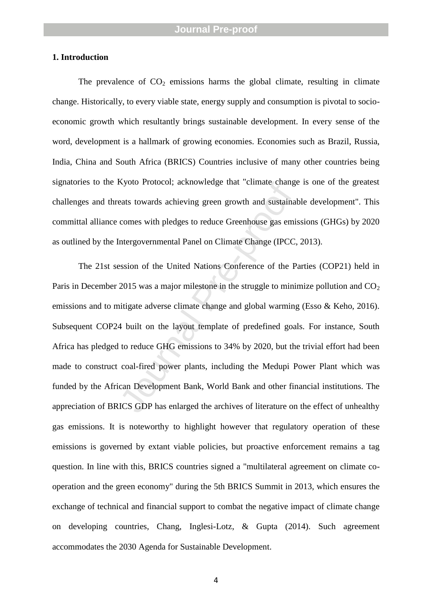### **1. Introduction**

The prevalence of  $CO<sub>2</sub>$  emissions harms the global climate, resulting in climate change. Historically, to every viable state, energy supply and consumption is pivotal to socio economic growth which resultantly brings sustainable development. In every sense of the word, development is a hallmark of growing economies. Economies such as Brazil, Russia, India, China and South Africa (BRICS) Countries inclusive of many other countries being signatories to the Kyoto Protocol; acknowledge that "climate change is one of the greatest challenges and threats towards achieving green growth and sustainable development". This committal alliance comes with pledges to reduce Greenhouse gas emissions (GHGs) by 2020 as outlined by the Intergovernmental Panel on Climate Change (IPCC, 2013).

Ryoto Protocot, acknowledge that Crimate change<br>eats towards achieving green growth and sustainal<br>comes with pledges to reduce Greenhouse gas emi-<br>intergovernmental Panel on Climate Change (IPCC,<br>ession of the United Natio The 21st session of the United Nations Conference of the Parties (COP21) held in Paris in December 2015 was a major milestone in the struggle to minimize pollution and CO<sub>2</sub> emissions and to mitigate adverse climate change and global warming (Esso & Keho, 2016). Subsequent COP24 built on the layout template of predefined goals. For instance, South Africa has pledged to reduce GHG emissions to 34% by 2020, but the trivial effort had been made to construct coal -fired power plants, including the Medupi Power Plant which was funded by the African Development Bank, World Bank and other financial institutions. The appreciation of BRICS GDP has enlarged the archives of literature on the effect of unhealthy gas emissions. It is noteworthy to highlight however that regulatory operation of these emissions is governed by extant viable policies, but proactive enforcement remains a tag question. In line with this, BRICS countries signed a "multilateral agreement on climate co operation and the green economy" during the 5th BRICS Summit in 2013, which ensures the exchange of technical and financial support to combat the negative impact of climate change on developing countries, Chang, Inglesi -Lotz, & Gupta (2014). Such agreement accommodates the 2030 Agenda for Sustainable Development.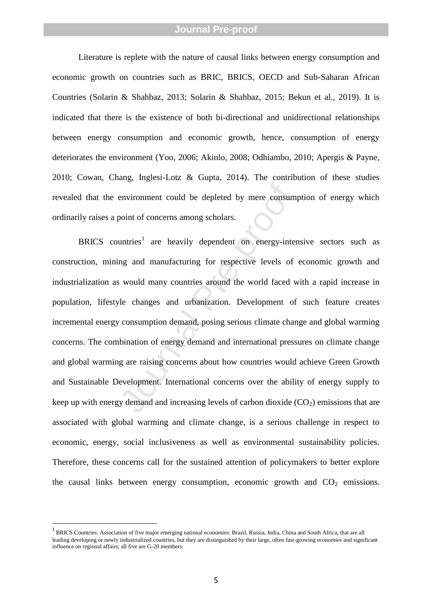Literature is replete with the nature of causal links between energy consumption and economic growth on countries such as BRIC, BRICS, OECD and Sub -Saharan African Countries (Solarin & Shahbaz, 2013; Solarin & Shahbaz, 2015; Bekun et al., 2019). It is indicated that there is the existence of both bi-directional and unidirectional relationships between energy consumption and economic growth, hence, consumption of energy deteriorates the environment (Yoo, 2006; Akinlo, 2008; Odhiambo, 2010; Apergis & Payne, 2010; Cowan, Chang, Inglesi -Lotz & Gupta, 2014). The contribution of these studies revealed that the environment could be depleted by mere consumption of energy which ordinarily raises a point of concerns among scholars.

environment could be depleted by mere consum<br>point of concerns among scholars.<br>untries<sup>1</sup> are heavily dependent on energy-inter<br>ng and manufacturing for respective levels of<br>is would many countries around the world faced w BRICS countries<sup>1</sup> are heavily dependent on energy-intensive sectors such as construction, mining and manufacturing for respective levels of economic growth and industrialization as would many countries around the world faced with a rapid increase in population, lifestyle changes and urbanization. Development of such feature creates incremental energy consumption demand, posing serious climate change and global warming concerns. The combination of energy demand and international pressures on climate change and global warming are raising concerns about how countries would achieve Green Growth and Sustainable Development. International concerns over the ability of energy supply to keep up with energy demand and increasing levels of carbon dioxide  $(CO<sub>2</sub>)$  emissions that are associated with global warming and climate change, is a serious challenge in respect to economic, energy, social inclusiveness as well as environmental sustainability policies. Therefore, these concerns call for the sustained attention of policymakers to better explore the causal links between energy consumption, economic growth and  $CO<sub>2</sub>$  emissions.

 $\frac{1}{1}$ <sup>1</sup> BRICS Countries: Association of five major emerging national economies: Brazil, Russia, India, China and South Africa, that are all leading developing or newly industrialized countries, but they are distinguished by their large, often fast -growing economies and significant influence on regional affairs; all five are G -20 members.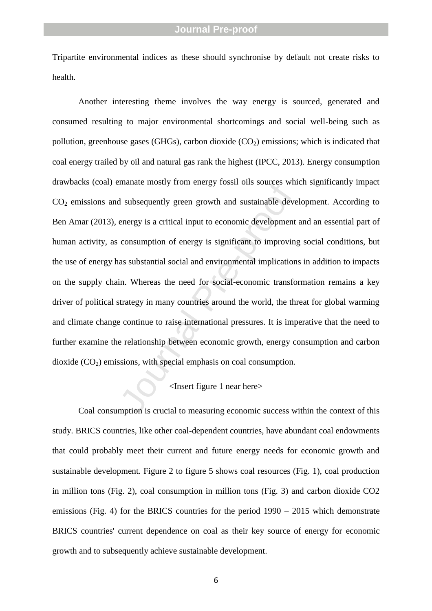Tripartite environmental indices as these should synchronise by default not create risks to health.

Inanate mostry from energy fossil ons sources wind<br>d subsequently green growth and sustainable deve<br>energy is a critical input to economic development<br>consumption of energy is significant to improving<br>as substantial social Another interesting theme involves the way energy is sourced, generated and consumed resulting to major environmental shortcomings and social well -being such as pollution, greenhouse gases (GHGs), carbon dioxide (CO <sup>2</sup>) emissions; which is indicated that coal energy trailed by oil and natural gas rank the highest (IPCC, 2013). Energy consumption drawbacks (coal) emanate mostly from energy fossil oils sources which significantly impact CO <sup>2</sup> emissions and subsequently green growth and sustainable development. According to Ben Amar (2013), energy is a critical input to economic development and an essential part of human activity, as consumption of energy is significant to improving social conditions, but the use of energy has substantial social and environmental implications in addition to impacts on the supply chain. Whereas the need for social - economic transformation remains a key driver of political strategy in many countries around the world, the threat for global warming and climate change continue to raise international pressures. It is imperative that the need to further examine the relationship between economic growth, energy consumption and carbon dioxide (CO <sup>2</sup>) emissions, with special emphasis on coal consumption.

### <Insert figure 1 near here>

Coal consumption is crucial to measuring economic success within the context of this study. BRICS countries, like other coal -dependent countries, have abundant coal endowments that could probably meet their current and future energy needs for economic growth and sustainable development. Figure 2 to figure 5 shows coal resources (Fig. 1), coal production in million tons (Fig. 2), coal consumption in million tons (Fig. 3) and carbon dioxide CO2 emissions (Fig. 4) for the BRICS countries for the period  $1990 - 2015$  which demonstrate BRICS countries' current dependence on coal as their key source of energy for economic growth and to subsequently achieve sustainable development.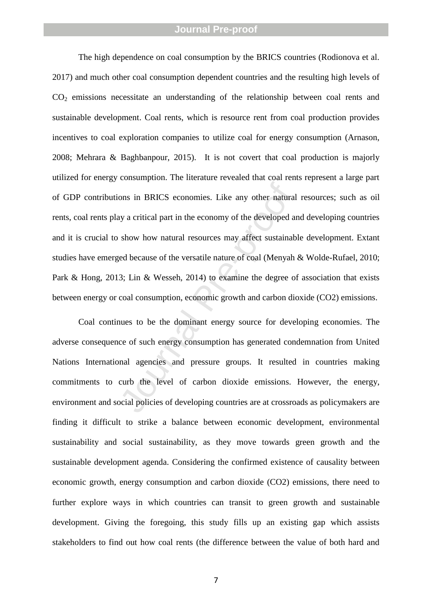ons in BRICS economies. Like any other natural<br>ay a critical part in the economy of the developed an<br>show how natural resources may affect sustainab<br>ed because of the versatile nature of coal (Menyah<br>3; Lin & Wesseh, 2014) The high dependence on coal consumption by the BRICS countries (Rodionova et al. 2017) and much other coal consumption dependent countries and the resulting high levels of CO <sup>2</sup> emissions necessitate an understanding of the relationship between coal rents and sustainable development. Coal rents, which is resource rent from coal production provides incentives to coal exploration companies to utilize coal for energy consumption (Arnason, 2008; Mehrara & Baghbanpour, 2015). It is not covert that coal production is majorly utilized for energy consumption. The literature revealed that coal rents represent a large part of GDP contributions in BRICS economies. Like any other natural resources; such as oil rents, coal rents play a critical part in the economy of the developed and developing countries and it is crucial to show how natural resources may affect sustainable development. Extant studies have emerged because of the versatile nature of coal (Menyah & Wolde -Rufael, 2010; Park & Hong, 2013; Lin & Wesseh, 2014) to examine the degree of association that exists between energy or coal consumption, economic growth and carbon dioxide (CO2) emissions.

Coal continues to be the dominant energy source for developing economies. The adverse consequence of such energy consumption has generated condemnation from United Nations International agencies and pressure groups. It resulted in countries making commitments to curb the level of carbon dioxide emissions. However, the energy, environment and social policies of developing countries are at crossroads as policymakers are finding it difficult to strike a balance between economic development, environmental sustainability and social sustainability, as they move towards green growth and the sustainable development agenda. Considering the confirmed existence of causality between economic growth, energy consumption and carbon dioxide (CO2) emissions, there need to further explore ways in which countries can transit to green growth and sustainable development. Giving the foregoing, this study fills up an existing gap which assists stakeholders to find out how coal rents (the difference between the value of both hard and

7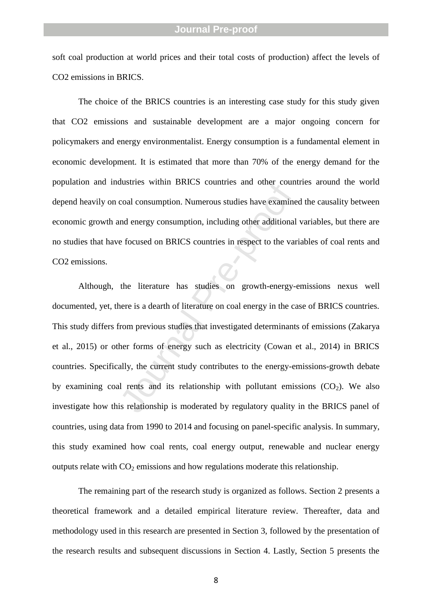soft coal production at world prices and their total costs of production) affect the levels of CO2 emissions in BRICS.

The choice of the BRICS countries is an interesting case study for this study given that CO2 emissions and sustainable development are a major ongoing concern for policymakers and energy environmentalist. Energy consumption is a fundamental element in economic development. It is estimated that more than 70% of the energy demand for the population and industries within BRICS countries and other countries around the world depend heavily on coal consumption. Numerous studies have examined the causality between economic growth and energy consumption, including other additional variables, but there are no studies that have focused on BRICS countries in respect to the variables of coal rents and CO2 emissions.

coal consumption. Numerous studies have examine<br>coal consumption. Numerous studies have examine<br>and energy consumption, including other additional<br>e focused on BRICS countries in respect to the var<br>the literature has studi Although, the literature has studies on growth -energy -emissions nexus well documented, yet, there is a dearth of literature on coal energy in the case of BRICS countries. This study differs from previous studies that investigated determinants of emissions (Zakarya et al., 2015) or other forms of energy such as electricity (Cowan et al., 2014) in BRICS countries. Specifically, the current study contributes to the energy-emissions-growth debate by examining coal rents and its relationship with pollutant emissions (CO <sup>2</sup>). We also investigate how this relationship is moderated by regulatory quality in the BRICS panel of countries, using data from 1990 to 2014 and focusing on panel -specific analysis. In summary, this study examined how coal rents, coal energy output, renewable and nuclear energy outputs relate with  $CO_2$  emissions and how regulations moderate this relationship.

The remaining part of the research study is organized as follows. Section 2 presents a theoretical framework and a detailed empirical literature review. Thereafter, data and methodology used in this research are presented in Section 3, followed by the presentation of the research results and subsequent discussions in Section 4. Lastly, Section 5 presents the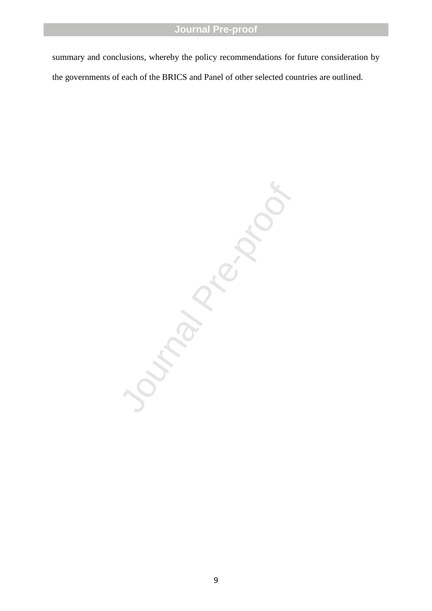summary and conclusions, whereby the policy recommendations for future consideration by the governments of each of the BRICS and Panel of other selected countries are outlined.

Trima Pre-proof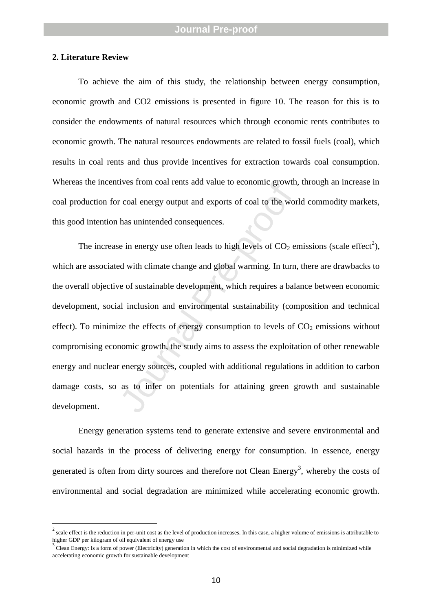#### **2. Literature Review**

To achieve the aim of this study, the relationship between energy consumption, economic growth and CO2 emissions is presented in figure 10. The reason for this is to consider the endowments of natural resources which through economic rents contributes to economic growth. The natural resources endowments are related to fossil fuels (coal), which results in coal rents and thus provide incentives for extraction towards coal consumption. Whereas the incentives from coal rents add value to economic growth, through an increase in coal production for coal energy output and exports of coal to the world commodity markets, this good intention has unintended consequences.

r coal energy output and exports of coal to the wor<br>has unintended consequences.<br>e in energy use often leads to high levels of CO<sub>2</sub> er<br>d with climate change and global warming. In turn,<br>e of sustainable development, which The increase in energy use often leads to high levels of  $CO_2$  emissions (scale effect<sup>2</sup>), which are associated with climate change and global warming. In turn, there are drawbacks to the overall objective of sustainable development, which requires a balance between economic development, social inclusion and environmental sustainability (composition and technical effect). To minimize the effects of energy consumption to levels of  $CO<sub>2</sub>$  emissions without compromising economic growth, the study aims to assess the exploitation of other renewable energy and nuclear energy sources, coupled with additional regulations in addition to carbon damage costs, so as to infer on potentials for attaining green growth and sustainable development.

Energy generation systems tend to generate extensive and severe environmental and social hazards in the process of delivering energy for consumption. In essence, energy generated is often from dirty sources and therefore not Clean Energy<sup>3</sup>, whereby the costs of environmental and social degradation are minimized while accelerating economic growth.

 $\frac{1}{2}$ scale effect is the reduction in per -unit cost as the level of production increases. In this case, a higher volume of emissions is attributable to higher GDP per kilogram of oil equivalent of energy use <sup>3</sup>

<sup>&</sup>lt;sup>3</sup> Clean Energy: Is a form of power (Electricity) generation in which the cost of environmental and social degradation is minimized while accelerating economic growth for sustainable development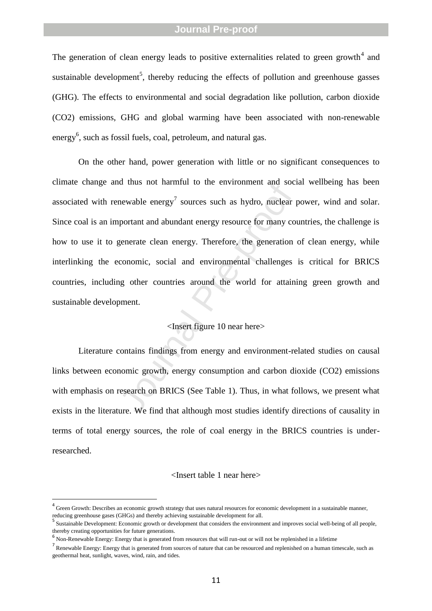The generation of clean energy leads to positive externalities related to green growth<sup>4</sup> and sustainable development<sup>5</sup>, thereby reducing the effects of pollution and greenhouse gasses (GHG). The effects to environmental and social degradation like pollution, carbon dioxide (CO2) emissions, GHG and global warming have been associated with non -renewable energy<sup>6</sup>, such as fossil fuels, coal, petroleum, and natural gas.

mewable energy<sup>7</sup> sources such as hydro, nuclear protant and abundant energy resource for many conventant and abundant energy resource for many convented clean energy. Therefore, the generation conomic, social and environm On the other hand, power generation with little or no significant consequences to climate change and thus not harmful to the environment and social wellbeing has been associated with renewable energy<sup>7</sup> sources such as hydro, nuclear power, wind and solar. Since coal is an important and abundant energy resource for many countries, the challenge is how to use it to generate clean energy. Therefore, the generation of clean energy, while interlinking the economic, social and environmental challenges is critical for BRICS countries, including other countries around the world for attaining green growth and sustainable development.

### <Insert figure 10 near here>

Literature contains findings from energy and environment -related studies on causal links between economic growth, energy consumption and carbon dioxide (CO2) emissions with emphasis on research on BRICS (See Table 1). Thus, in what follows, we present what exists in the literature. We find that although most studies identify directions of causality in terms of total energy sources, the role of coal energy in the BRICS countries is under researched.

#### <Insert table 1 near here>

 $\frac{1}{4}$ <sup>4</sup> Green Growth: Describes an economic growth strategy that uses natural resources for economic development in a sustainable manner, reducing greenhouse gases (GHGs) and thereby achieving sustainable development for all. <sup>5</sup>

Sustainable Development: Economic growth or development that considers the environment and improves social well -being of all people, thereby creating opportunities for future generations.

<sup>6</sup> Non -Renewable Energy: Energy that is generated from resources that will run -out or will not be replenished in a lifetime

 $<sup>7</sup>$  Renewable Energy: Energy that is generated from sources of nature that can be resourced and replenished on a human timescale, such as</sup> geothermal heat, sunlight, waves, wind, rain, and tides.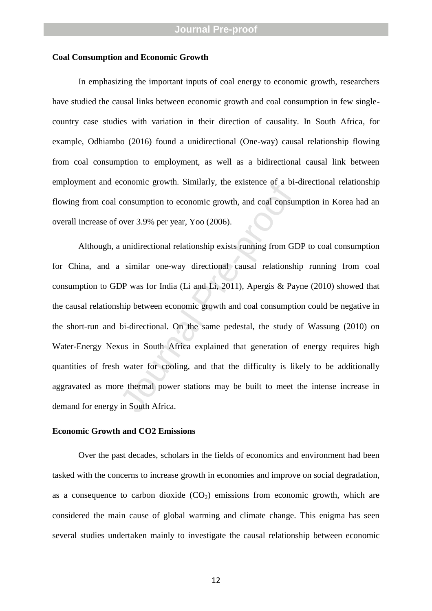#### **Coal Consumption and Economic Growth**

In emphasizing the important inputs of coal energy to economic growth, researchers have studied the causal links between economic growth and coal consumption in few single country case studies with variation in their direction of causality. In South Africa, for example, Odhiambo (2016) found a unidirectional (One -way) causal relationship flowing from coal consumption to employment, as well as a bidirectional causal link between employment and economic growth. Similarly, the existence of a bi -directional relationship flowing from coal consumption to economic growth, and coal consumption in Korea had an overall increase of over 3.9% per year, Yoo (2006).

conomic growth. Similarly, the existence of a bi-<br>consumption to economic growth, and coal consur<br>over 3.9% per year, Yoo (2006).<br>a unidirectional relationship exists running from GI<br>is similar one-way directional causal r Although, a unidirectional relationship exists running from GDP to coal consumption for China, and a similar one -way directional causal relationship running from coal consumption to GDP was for India (Li and Li, 2011), Apergis & Payne (2010) showed that the causal relationship between economic growth and coal consumption could be negative in the short -run and bi -directional. On the same pedestal, the study of Wassung (2010) on Water -Energy Nexus in South Africa explained that generation of energy requires high quantities of fresh water for cooling, and that the difficulty is likely to be additionally aggravated as more thermal power stations may be built to meet the intense increase in demand for energy in South Africa.

#### **Economic Growth and CO2 Emissions**

Over the past decades, scholars in the fields of economics and environment had been tasked with the concerns to increase growth in economies and improve on social degradation, as a consequence to carbon dioxide  $(CO<sub>2</sub>)$  emissions from economic growth, which are considered the main cause of global warming and climate change. This enigma has seen several studies undertaken mainly to investigate the causal relationship between economic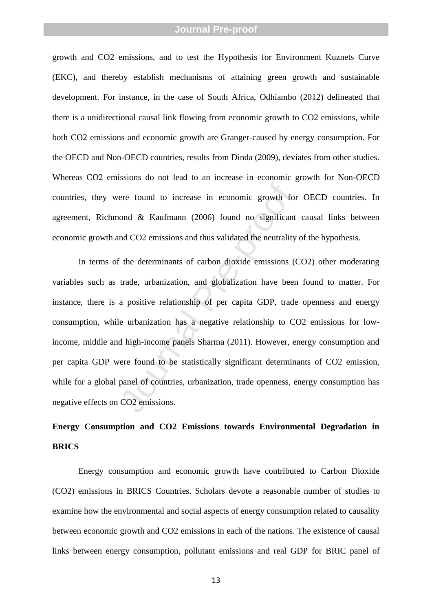growth and CO2 emissions, and to test the Hypothesis for Environment Kuznets Curve (EKC), and thereby establish mechanisms of attaining green growth and sustainable development. For instance, in the case of South Africa, Odhiambo (2012) delineated that there is a unidirectional causal link flowing from economic growth to CO2 emissions, while both CO2 emissions and economic growth are Granger -caused by energy consumption. For the OECD and Non -OECD countries, results from Dinda (2009), deviates from other studies. Whereas CO2 emissions do not lead to an increase in economic growth for Non -OECD countries, they were found to increase in economic growth for OECD countries. In agreement, Richmond & Kaufmann (2006) found no significant causal links between economic growth and CO2 emissions and thus validated the neutrality of the hypothesis.

ere found to increase in economic growth for<br>ond & Kaufmann (2006) found no significant<br>and CO2 emissions and thus validated the neutrality<br>f the determinants of carbon dioxide emissions ((<br>trade, urbanization, and globali In terms of the determinants of carbon dioxide emissions (CO2) other moderating variables such as trade, urbanization, and globalization have been found to matter. For instance, there is a positive relationship of per capita GDP, trade openness and energy consumption, while urbanization has a negative relationship to CO2 emissions for low income, middle and hig h -income panels Sharma (2011). However, energy consumption and per capita GDP were found to be statistically significant determinants of CO2 emission, while for a global panel of countries, urbanization, trade openness, energy consumption has negative effects on CO2 emissions.

# **Energy Consumption and CO2 Emissions towards Environmental Degradation in BRICS**

Energy consumption and economic growth have contributed to Carbon Dioxide (CO2) emissions in BRICS Countries. Scholars devote a reasonable number of studies to examine how the environmental and social aspects of energy consumption related to causality between economic growth and CO2 emissions in each of the nations. The existence of causal links between energy consumption, pollutant emissions and real GDP for BRIC panel of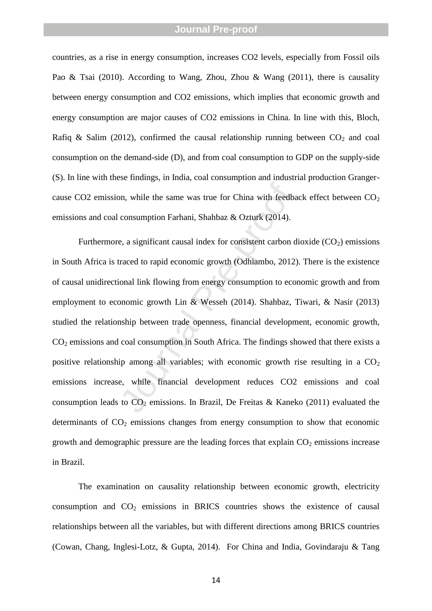countries, as a rise in energy consumption, increases CO2 levels, especially from Fossil oils Pao & Tsai (2010). According to Wang, Zhou, Zhou & Wang (2011), there is causality between energy consumption and CO2 emissions, which implies that economic growth and energy consumption are major causes of CO2 emissions in China. In line with this, Bloch, Rafiq & Salim (2012), confirmed the causal relationship running between  $CO_2$  and coal consumption on the demand -side (D), and from coal consumption to GDP on the supply -side (S). In line with these findings, in India, coal consumption and industrial production Granger cause CO2 emission, while the same was true for China with feedback effect between  $CO<sub>2</sub>$ emissions and coal consumption Farhani, Shahbaz & Ozturk (2014).

on, while the same was true for China with feedba<br>consumption Farhani, Shahbaz & Ozturk (2014).<br>e, a significant causal index for consistent carbon d<br>traced to rapid economic growth (Odhiambo, 2012)<br>ional link flowing fro Furthermore, a significant causal index for consistent carbon dioxide (CO <sup>2</sup>) emissions in South Africa is traced to rapid economic growth (Odhiambo, 2012). There is the existence of causal unidirectional link flowing from energy consumption to economic growth and from employment to economic growth Lin & Wesseh (2014). Shahbaz, Tiwari, & Nasir (2013) studied the relationship between trade openness, financial development, economic growth, CO <sup>2</sup> emissions and coal consumption in South Africa. The findings showed that there exists a positive relationship among all variables; with economic growth rise resulting in a CO<sub>2</sub> emissions increase, while financial development reduces CO2 emissions and coal consumption leads to  $CO_2$  emissions. In Brazil, De Freitas & Kaneko (2011) evaluated the determinants of CO <sup>2</sup> emissions changes from energy consumption to show that economic growth and demographic pressure are the leading forces that explain CO <sup>2</sup> emissions increase in Brazil.

The examination on causality relationship between economic growth, electricity consumption and CO <sup>2</sup> emissions in BRICS countries shows the existence of causal relationships between all the variables, but with different directions among BRICS countries (Cowan, Chang, Inglesi -Lotz, & Gupta, 2014). For China and India, Govindaraju & Tang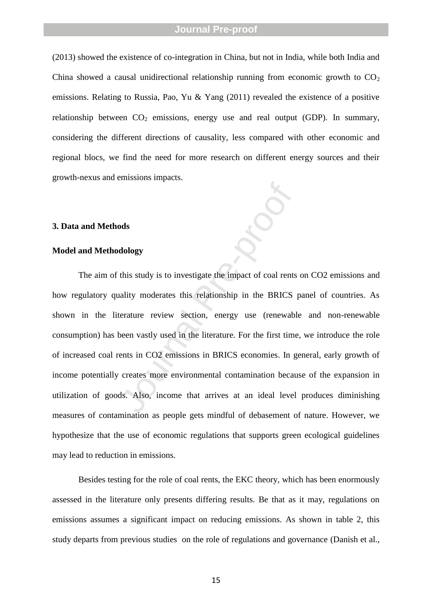(2013) showed the existence of co -integration in China, but not in India, while both India and China showed a causal unidirectional relationship running from economic growth to  $CO<sub>2</sub>$ emissions. Relating to Russia, Pao, Yu & Yang (2011) revealed the existence of a positive relationship between CO <sup>2</sup> emissions, energy use and real output (GDP). In summary, considering the different directions of causality, less compared with other economic and regional blocs, we find the need for more research on different energy sources and their growth -nexus and emissions impacts.

#### **3. Data and Methods**

#### **Model and Methodology**

dology<br>
dology<br>
this study is to investigate the impact of coal rents<br>
nality moderates this relationship in the BRICS<br>
terature review section, energy use (renewable<br>
been vastly used in the literature. For the first time The aim of this study is to investigate the impact of coal rents on CO2 emissions and how regulatory quality moderates this relationship in the BRICS panel of countries. As shown in the literature review section, energy use (renewable and non -renewable consumption) has been vastly used in the literature. For the first time, we introduce the role of increased coal rents in CO2 emissions in BRICS economies. In general, early growth of income potentially creates more environmental contamination because of the expansion in utilization of goods. Also, income that arrives at an ideal level produces diminishing measures of contamination as people gets mindful of debasement of nature. However, we hypothesize that the use of economic regulations that supports green ecological guidelines may lead to reduction in emissions.

Besides testing for the role of coal rents, the EKC theory, which has been enormously assessed in the literature only presents differing results. Be that as it may, regulations on emissions assumes a significant impact on reducing emissions. As shown in table 2, this study departs from previous studies on the role of regulations and governance (Danish et al.,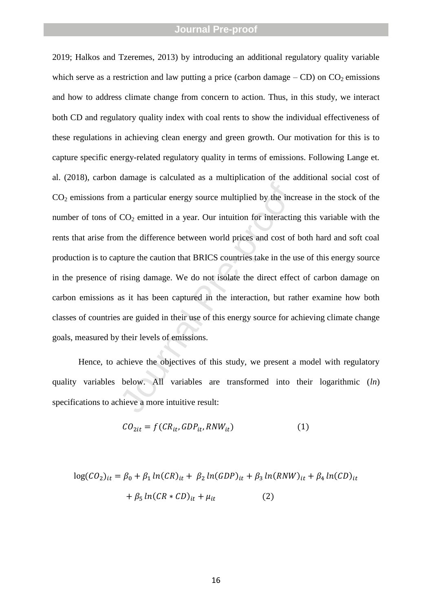$\overline{O}_2$  emitted in a year. Our intuition for interacting<br>CO<sub>2</sub> emitted in a year. Our intuition for interacting<br>m the difference between world prices and cost of<br>oture the caution that BRICS countries take in the u<br>risi 2019; Halkos and Tzeremes, 2013) by introducing an additional regulatory quality variable which serve as a restriction and law putting a price (carbon damage  $-$  CD) on  $CO_2$  emissions and how to address climate change from concern to action. Thus, in this study, we interact both CD and regulatory quality index with coal rents to show the individual effectiveness of these regulations in achieving clean energy and green growth. Our motivation for this is to capture specific energy -related regulatory quality in terms of emissions. Following Lange et. al. (2018), carbon damage is calculated as a multiplication of the additional social cost of CO <sup>2</sup> emissions from a particular energy source multiplied by the increase in the stock of the number of tons of  $CO_2$  emitted in a year. Our intuition for interacting this variable with the rents that arise from the difference between world prices and cost of both hard and soft coal production is to capture the caution that BRICS countries take in the use of this energy source in the presence of rising damage. We do not isolate the direct effect of carbon damage on carbon emissions as it has been captured in the interaction, but rather examine how both classes of countries are guided in their use of this energy source for achieving climate change goals, measured by their levels of emissions.

Hence, to achieve the objectives of this study, we present a model with regulatory quality variables below. All variables are transformed into their logarithmic (*ln*) specifications to achieve a more intuitive result:

$$
CO_{2it} = f(CR_{it}, GDP_{it}, RNW_{it})
$$
 (1)

$$
log(CO_2)_{it} = \beta_0 + \beta_1 ln(CR)_{it} + \beta_2 ln(GDP)_{it} + \beta_3 ln(RNW)_{it} + \beta_4 ln(CD)_{it}
$$

$$
+ \beta_5 ln(CR * CD)_{it} + \mu_{it}
$$
(2)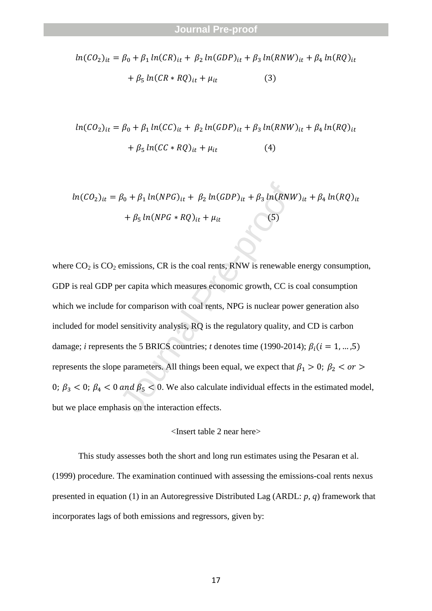$$
ln(CO_2)_{it} = \beta_0 + \beta_1 ln(CR)_{it} + \beta_2 ln(GDP)_{it} + \beta_3 ln(RNW)_{it} + \beta_4 ln(RQ)_{it}
$$

$$
+ \beta_5 ln(CR * RQ)_{it} + \mu_{it}
$$
(3)

$$
ln(CO_2)_{it} = \beta_0 + \beta_1 ln(CC)_{it} + \beta_2 ln(GDP)_{it} + \beta_3 ln(RNW)_{it} + \beta_4 ln(RQ)_{it}
$$

$$
+ \beta_5 ln(CC * RQ)_{it} + \mu_{it}
$$
(4)

$$
ln(CO_2)_{it} = \beta_0 + \beta_1 ln(NPG)_{it} + \beta_2 ln(GDP)_{it} + \beta_3 ln(RNW)_{it} + \beta_4 ln(RQ)_{it}
$$

$$
+ \beta_5 ln(NPG * RQ)_{it} + \mu_{it}
$$
(5)

 $\beta_0 + \beta_1 ln(NPG)_{it} + \beta_2 ln(GDP)_{it} + \beta_3 ln(RNW + \beta_5 ln(NPG * RQ)_{it} + \mu_{it}$  (5)<br>
emissions, CR is the coal rents, RNW is renewable<br>
er capita which measures economic growth, CC is concernant with coal rents, NPG is nuclear pow<br>
sensitivi where  $CO_2$  is  $CO_2$  emissions, CR is the coal rents, RNW is renewable energy consumption, GDP is real GDP per capita which measures economic growth, CC is coal consumption which we include for comparison with coal rents, NPG is nuclear power generation also included for model sensitivity analysis, RQ is the regulatory quality, and CD is carbon damage; *i* represents the 5 BRICS countries; *t* denotes time (1990-2014);  $\beta_i$  ( $i = 1, ..., 5$ ) represents the slope parameters. All things been equal, we expect that  $\beta_1 > 0$ ;  $\beta_2 < \text{or} >$ 0;  $\beta_3$  < 0;  $\beta_4$  < 0 and  $\beta_5$  < 0. We also calculate individual effects in the estimated model, but we place emphasis on the interaction effects.

$$
<
$$
 Insert table 2 near here $>$ 

This study assesses both the short and long run estimates using the Pesaran et al. (1999) procedure. The examination continued with assessing the emissions -coal rents nexus presented in equation (1) in an Autoregressive Distributed Lag (ARDL: *p, q*) framework that incorporates lags of both emissions and regressors, given by: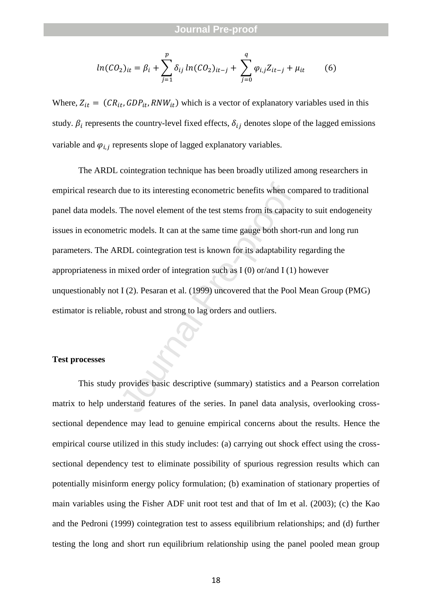$$
ln(CO_2)_{it} = \beta_i + \sum_{j=1}^p \delta_{ij} ln(CO_2)_{it-j} + \sum_{j=0}^q \varphi_{i,j} Z_{it-j} + \mu_{it}
$$
 (6)

Where,  $Z_{it} = (CR_{it}, GDP_{it}, RNW_{it})$  which is a vector of explanatory variables used in this study.  $\beta_i$  represents the country-level fixed effects,  $\delta_{ij}$  denotes slope of the lagged emissions variable and  $\varphi_{i,j}$  represents slope of lagged explanatory variables.

due to its interesting econometric benefits when compared The novel element of the test stems from its capaci-<br>ric models. It can at the same time gauge both short<br>RDL cointegration test is known for its adaptability<br>mixed The ARDL cointegration technique has been broadly utilized among researchers in empirical research due to its interesting econometric benefits when compared to traditional panel data models. The novel element of the test stems from its capacity to suit endogeneity issues in econometric models. It can at the same time gauge both short -run and long run parameters. The ARDL cointegration test is known for its adaptability regarding the appropriateness in mixed order of integration such as I (0) or/and I (1) however unquestionably not I (2). Pesaran et al. (1999) uncovered that the Pool Mean Group (PMG) estimator is reliable, robust and strong to lag orders and outliers.

#### **Test processes**

This study provides basic descriptive (summary) statistics and a Pearson correlation matrix to help understand features of the series. In panel data analysis, overlooking cross sectional dependence may lead to genuine empirical concerns about the results. Hence the empirical course utilized in this study includes: (a) carrying out shock effect using the crosssectional dependency test to eliminate possibility of spurious regression results which can potentially misinform energy policy formulation; (b) examination of stationary properties of main variables using the Fisher ADF unit root test and that of Im et al. (2003); (c) the Kao and the Pedroni (1999) cointegration test to assess equilibrium relationships; and (d) further testing the long and short run equilibrium relationship using the panel pooled mean group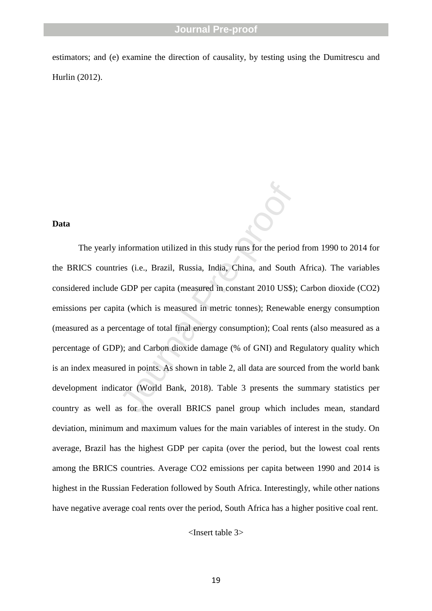estimators; and (e) examine the direction of causality, by testing using the Dumitrescu and Hurlin (2012) .

#### **Data**

information utilized in this study runs for the period<br>ies (i.e., Brazil, Russia, India, China, and South<br>GDP per capita (measured in constant 2010 US\$);<br>ta (which is measured in metric tonnes); Renewab<br>centage of total fi The yearly information utilized in this study runs for the period from 1990 to 2014 for the BRICS countries (i.e., Brazil, Russia, India, China, and South Africa). The variables considered include GDP per capita (measured in constant 2010 US\$); Carbon dioxide (CO2) emissions per capita (which is measured in metric tonnes); Renewable energy consumption (measured as a percentage of total final energy consumption); Coal rents (also measured as a percentage of GDP); and Carbon dioxide damage (% of GNI) and Regulatory quality which is an index measured in points. As shown in table 2, all data are sourced from the world bank development indicator (World Bank, 2018). Table 3 presents the summary statistics per country as well as for the overall BRICS panel group which includes mean, standard deviation, minimum and maximum values for the main variables of interest in the study. On average, Brazil has the highest GDP per capita (over the period, but the lowest coal rents among the BRICS countries. Average CO2 emissions per capita between 1990 and 2014 is highest in the Russian Federation followed by South Africa. Interestingly, while other nations have negative average coal rents over the period, South Africa has a higher positive coal rent.

<Insert table 3>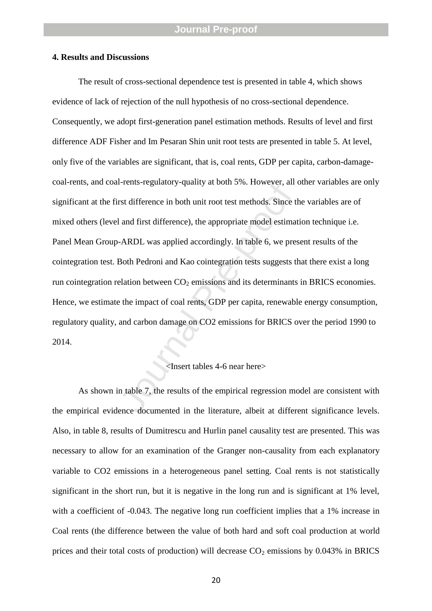#### **4. Results and Discussions**

Fremes-regulatory-quanty at boun 3%. However, and<br>rst difference in both unit root test methods. Since the and first difference), the appropriate model estimate<br>-ARDL was applied accordingly. In table 6, we pre-<br>Both Pedro The result of cross -sectional dependence test is presented in table 4, which shows evidence of lack of rejection of the null hypothesis of no cross -sectional dependence. Consequently, we adopt first -generation panel estimation methods. Results of level and first difference ADF Fisher and Im Pesaran Shin unit root tests are presented in table 5. At level, only five of the variables are significant, that is, coal rents, GDP per capita, carbon -damage coal-rents, and coal-rents-regulatory-quality at both 5%. However, all other variables are only significant at the first difference in both unit root test methods. Since the variables are of mixed others (level and first difference), the appropriate model estimation technique i.e. Panel Mean Group -ARDL was applied accordingly. In table 6, we present results of the cointegration test. Both Pedroni and Kao cointegration tests suggests that there exist a long run cointegration relation between  $CO<sub>2</sub>$  emissions and its determinants in BRICS economies. Hence, we estimate the impact of coal rents, GDP per capita, renewable energy consumption, regulatory quality, and carbon damage on CO2 emissions for BRICS over the period 1990 to 2014.

### <Insert tables 4 -6 near here>

As shown in table 7, the results of the empirical regression model are consistent with the empirical evidence documented in the literature, albeit at different significance levels. Also, in table 8, results of Dumitrescu and Hurlin panel causality test are presented. This was necessary to allow for an examination of the Granger non -causality from each explanatory variable to CO2 emissions in a heterogeneous panel setting. Coal rents is not statistically significant in the short run, but it is negative in the long run and is significant at 1% level, with a coefficient of -0.043. The negative long run coefficient implies that a 1% increase in Coal rents (the difference between the value of both hard and soft coal production at world prices and their total costs of production) will decrease CO <sup>2</sup> emissions by 0.043% in BRICS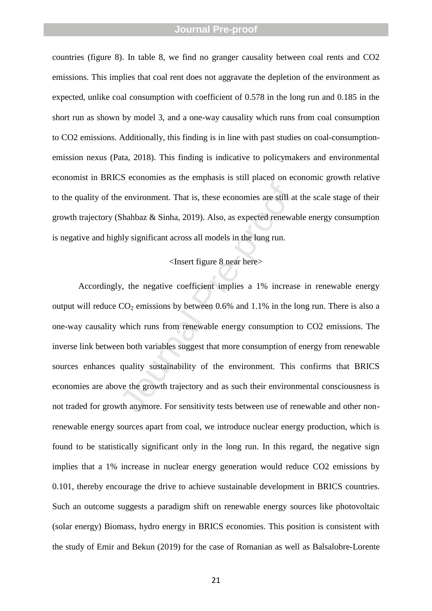countries (figure 8). In table 8, we find no granger causality between coal rents and CO2 emissions. This implies that coal rent does not aggravate the depletion of the environment as expected, unlike coal consumption with coefficient of 0.578 in the long run and 0.185 in the short run as shown by model 3, and a one -way causality which runs from coal consumption to CO2 emissions. Additionally, this finding is in line with past studies on coal -consumption emission nexus (Pata, 2018). This finding is indicative to policymakers and environmental economist in BRICS economies as the emphasis is still placed on economic growth relative to the quality of the environment. That is, these economies are still at the scale stage of their growth trajectory (Shahbaz & Sinha, 2019). Also, as expected renewable energy consumption is negative and highly significant across all models in the long run.

# <Insert figure 8 near here>

e environment. That is, these economies are still at<br>Shahbaz & Sinha, 2019). Also, as expected renewalt<br>hly significant across all models in the long run.<br><Insert figure 8 near here><br>y, the negative coefficient implies a 1 Accordingly, the negative coefficient implies a 1% increase in renewable energy output will reduce  $CO_2$  emissions by between 0.6% and 1.1% in the long run. There is also a one -way causality which runs from renewable energy consumption to CO2 emissions. The inverse link between both variables suggest that more consumption of energy from renewable sources enhances quality sustainability of the environment. This confirms that BRICS economies are above the growth trajectory and as such their environmental consciousness is not traded for growth anymore. For sensitivity tests between use of renewable and other non renewable energy sources apart from coal, we introduce nuclear energy production, which is found to be statistically significant only in the long run. In this regard, the negative sign implies that a 1% increase in nuclear energy generation would reduce CO2 emissions by 0.101, thereby encourage the drive to achieve sustainable development in BRICS countries. Such an outcome suggests a paradigm shift on renewable energy sources like photovoltaic (solar energy) Biomass, hydro energy in BRICS economies. This position is consistent with the study of Emir and Bekun (2019) for the case of Romanian as well as Balsalobre -Lorente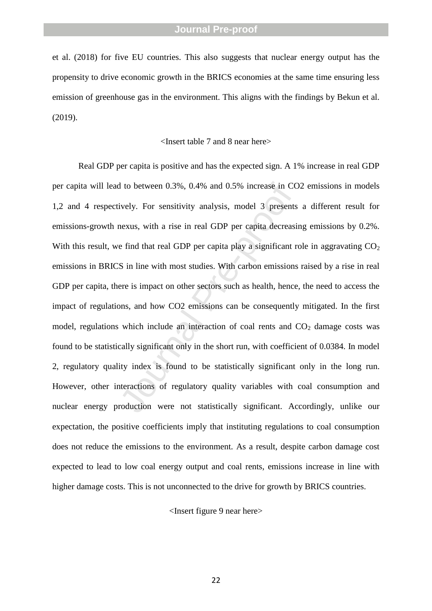et al. (2018) for five EU countries. This also suggests that nuclear energy output has the propensity to drive economic growth in the BRICS economies at the same time ensuring less emission of greenhouse gas in the environment. This aligns with the findings by Bekun et al. (2019).

#### <Insert table 7 and 8 near here>

1 to between 0.3%, 0.4% and 0.5% increase in CC<br>ively. For sensitivity analysis, model 3 presents<br>nexus, with a rise in real GDP per capita decreasi<br>e find that real GDP per capita play a significant r<br>S in line with most Real GDP per capita is positive and has the expected sign. A 1% increase in real GDP per capita will lead to between 0.3%, 0.4% and 0.5% increase in CO2 emissions in models 1,2 and 4 respectively. For sensitivity analysis, model 3 presents a different result for emissions -growth nexus, with a rise in real GDP per capita decreasing emissions by 0.2%. With this result, we find that real GDP per capita play a significant role in aggravating  $CO<sub>2</sub>$ emissions in BRICS in line with most studies. With carbon emissions raised by a rise in real GDP per capita, there is impact on other sectors such as health, hence, the need to access the impact of regulations, and how CO2 emissions can be consequently mitigated. In the first model, regulations which include an interaction of coal rents and  $CO<sub>2</sub>$  damage costs was found to be statistically significant only in the short run, with coefficient of 0.0384. In model 2, regulatory quality index is found to be statistically significant only in the long run. However, other interactions of regulatory quality variables with coal consumption and nuclear energy production were not statistically significant. Accordingly, unlike our expectation, the positive coefficients imply that instituting regulations to coal consumption does not reduce the emissions to the environment. As a result, despite carbon damage cost expected to lead to low coal energy output and coal rents, emissions increase in line with higher damage costs. This is not unconnected to the drive for growth by BRICS countries.

<Insert figure 9 near here>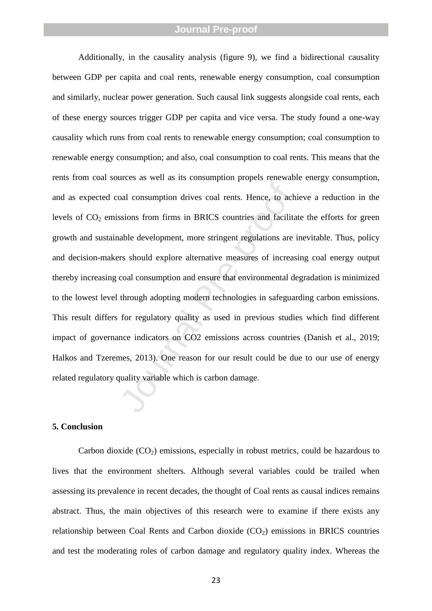oal consumption drives coal rents. Hence, to achieve and solutions from firms in BRICS countries and facilita able development, more stringent regulations are in the solucid explore alternative measures of increasional con Additionally, in the causality analysis (figure 9), we find a bidirectional causality between GDP per capita and coal rents, renewable energy consumption, coal consumption and similarly, nuclear power generation. Such causal link suggests alongside coal rents, each of these energy sources trigger GDP per capita and vice versa. The study found a one -way causality which runs from coal rents to renewable energy consumption; coal consumption to renewable energy consumption; and also, coal consumption to coal rents. This means that the rents from coal sources as well as its consumption propels renewable energy consumption, and as expected coal consumption drives coal rents. Hence, to achieve a reduction in the levels of CO <sup>2</sup> emissions from firms in BRICS countries and facilitate the efforts for green growth and sustainable development, more stringent regulations are inevitable. Thus, policy and decision -makers should explore alternative measures of increasing coal energy output thereby increasing coal consumption and ensure that environmental degradation is minimized to the lowest level through adopting modern technologies in safeguarding carbon emissions. This result differs for regulatory quality as used in previous studies which find different impact of governance indicators on CO2 emissions across countries (Danish et al., 2019; Halkos and Tzeremes, 2013). One reason for our result could be due to our use of energy related regulatory quality variable which is carbon damage.

#### **5. Conclusion**

Carbon dioxide (CO <sup>2</sup>) emissions, especially in robust metrics, could be hazardous to lives that the environment shelters. Although several variables could be trailed when assessing its prevalence in recent decades, the thought of Coal rents as causal indices remains abstract. Thus, the main objectives of this research were to examine if there exists any relationship between Coal Rents and Carbon dioxide (CO <sup>2</sup>) emissions in BRICS countries and test the moderating roles of carbon damage and regulatory quality index. Whereas the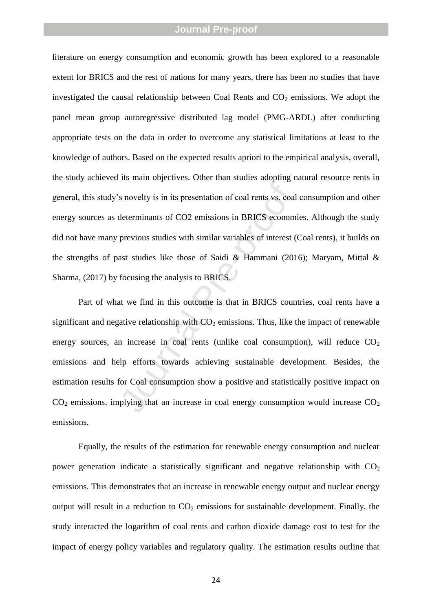literature on energy consumption and economic growth has been explored to a reasonable extent for BRICS and the rest of nations for many years, there has been no studies that have investigated the causal relationship between Coal Rents and  $CO<sub>2</sub>$  emissions. We adopt the panel mean group autoregressive distributed lag model (PMG -ARDL) after conducting appropriate tests on the data in order to overcome any statistical limitations at least to the knowledge of authors. Based on the expected results apriori to the empirical analysis, overall, the study achieved its main objectives. Other than studies adopting natural resource rents in general, this study's novelty is in its presentation of coal rents vs. coal consumption and other energy sources as determinants of CO2 emissions in BRICS economies. Although the study did not have many previous studies with similar variables of interest (Coal rents), it builds on the strengths of past studies like those of Saidi & Hammani (2016); Maryam, Mittal & Sharma, (2017) by focusing the analysis to BRICS.

s novelty is in its presentation of coal rents vs. coal<br>determinants of CO2 emissions in BRICS econom<br>previous studies with similar variables of interest (<br>ast studies like those of Saidi & Hammani (201<br>focusing the analys Part of what we find in this outcome is that in BRICS countries, coal rents have a significant and negative relationship with  $CO<sub>2</sub>$  emissions. Thus, like the impact of renewable energy sources, an increase in coal rents (unlike coal consumption), will reduce CO<sub>2</sub> emissions and help efforts towards achieving sustainable development. Besides, the estimation results for Coal consumption show a positive and statistically positive impact on  $CO<sub>2</sub>$  emissions, implying that an increase in coal energy consumption would increase  $CO<sub>2</sub>$ emissions.

Equally, the results of the estimation for renewable energy consumption and nuclear power generation indicate a statistically significant and negative relationship with  $CO<sub>2</sub>$ emissions. This demonstrates that an increase in renewable energy output and nuclear energy output will result in a reduction to  $CO<sub>2</sub>$  emissions for sustainable development. Finally, the study interacted the logarithm of coal rents and carbon dioxide damage cost to test for the impact of energy policy variables and regulatory quality. The estimation results outline that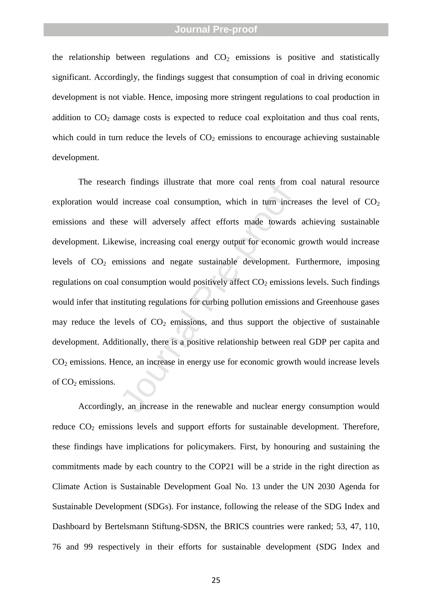the relationship between regulations and  $CO<sub>2</sub>$  emissions is positive and statistically significant. Accordingly, the findings suggest that consumption of coal in driving economic development is not viable. Hence, imposing more stringent regulations to coal production in addition to CO <sup>2</sup> damage costs is expected to reduce coal exploitation and thus coal rents, which could in turn reduce the levels of  $CO<sub>2</sub>$  emissions to encourage achieving sustainable development.

In manngs must also that more coal reins from<br>increase coal consumption, which in turn incre<br>see will adversely affect efforts made towards<br>wise, increasing coal energy output for economic<br>missions and negate sustainable d The research findings illustrate that more coal rents from coal natural resource exploration would increase coal consumption, which in turn increases the level of  $CO<sub>2</sub>$ emissions and these will adversely affect efforts made towards achieving sustainable development. Likewise, increasing coal energy output for economic growth would increase levels of CO <sup>2</sup> emissions and negate sustainable development. Furthermore, imposing regulations on coal consumption would positively affect  $CO<sub>2</sub>$  emissions levels. Such findings would infer that instituting regulations for curbing pollution emissions and Greenhouse gases may reduce the levels of  $CO<sub>2</sub>$  emissions, and thus support the objective of sustainable development. Additionally, there is a positive relationship between real GDP per capita and CO <sup>2</sup> emissions. Hence, an increase in energy use for economic growth would increase levels of CO <sup>2</sup> emissions.

Accordingly, an increase in the renewable and nuclear energy consumption would reduce CO<sub>2</sub> emissions levels and support efforts for sustainable development. Therefore, these findings have implications for policymakers. First, by honouring and sustaining the commitments made by each country to the COP21 will be a stride in the right direction as Climate Action is Sustainable Development Goal No. 13 under the UN 2030 Agenda for Sustainable Development (SDGs). For instance, following the release of the SDG Index and Dashboard by Bertelsmann Stiftung -SDSN, the BRICS countries were ranked; 53, 47, 110, 76 and 99 respectively in their efforts for sustainable development (SDG Index and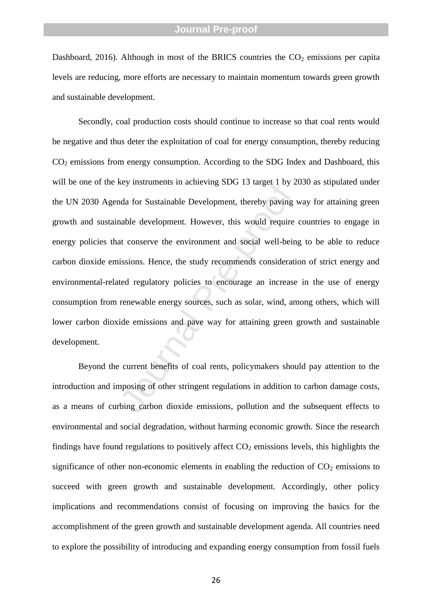Dashboard, 2016). Although in most of the BRICS countries the  $CO<sub>2</sub>$  emissions per capita levels are reducing, more efforts are necessary to maintain momentum towards green growth and sustainable development.

Rey insulations in achieving SDG 15 taget 1 by 2<br>ada for Sustainable Development, thereby paving v<br>nable development. However, this would require<br>at conserve the environment and social well-bein<br>issions. Hence, the study r Secondly, coal production costs should continue to increase so that coal rents would be negative and thus deter the exploitation of coal for energy consumption, thereby reducing CO <sup>2</sup> emissions from energy consumption. According to the SDG Index and Dashboard, this will be one of the key instruments in achieving SDG 13 target 1 by 2030 as stipulated under the UN 2030 Agenda for Sustainable Development, thereby paving way for attaining green growth and sustainable development. However, this would require countries to engage in energy policies that conserve the environment and social well -being to be able to reduce carbon dioxide emissions. Hence, the study recommends consideration of strict energy and environmental -related regulatory policies to encourage an increase in the use of energy consumption from renewable energy sources, such as solar, wind, among others, which will lower carbon dioxide emissions and pave way for attaining green growth and sustainable development.

Beyond the current benefits of coal rents, policymakers should pay attention to the introduction and imposing of other stringent regulations in addition to carbon damage costs, as a means of curbing carbon dioxide emissions, pollution and the subsequent effects to environmental and social degradation, without harming economic growth. Since the research findings have found regulations to positively affect  $CO<sub>2</sub>$  emissions levels, this highlights the significance of other non-economic elements in enabling the reduction of  $CO<sub>2</sub>$  emissions to succeed with green growth and sustainable development. Accordingly, other policy implications and recommendations consist of focusing on improving the basics for the accomplishment of the green growth and sustainable development agenda. All countries need to explore the possibility of introducing and expanding energy consumption from fossil fuels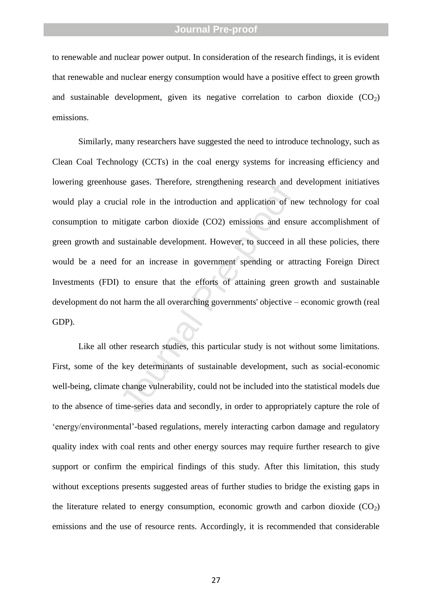to renewable and nuclear power output. In consideration of the research findings, it is evident that renewable and nuclear energy consumption would have a positive effect to green growth and sustainable development, given its negative correlation to carbon dioxide  $(CO_2)$ emissions.

see gases. Therefore, suenganening research and dial role in the introduction and application of netitigate carbon dioxide (CO2) emissions and enst<br>sustainable development. However, to succeed in<br>for an increase in governm Similarly, many researchers have suggested the need to introduce technology, such as Clean Coal Technology (CCTs) in the coal energy systems for increasing efficiency and lowering greenhouse gases. Therefore, strengthening research and development initiatives would play a crucial role in the introduction and application of new technology for coal consumption to mitigate carbon dioxide (CO2) emissions and ensure accomplishment of green growth and sustainable development. However, to succeed in all these policies, there would be a need for an increase in government spending or attracting Foreign Direct Investments (FDI) to ensure that the efforts of attaining green growth and sustainable development do not harm the all overarching governments' objective – economic growth (real GDP).

Like all other research studies, this particular study is not without some limitations. First, some of the key determinants of sustainable development, such as social -economic well -being, climate change vulnerability, could not be included into the statistical models due to the absence of time -series data and secondly, in order to appropriately capture the role of 'energy/environmental' -based regulations, merely interacting carbon damage and regulatory quality index with coal rents and other energy sources may require further research to give support or confirm the empirical findings of this study. After this limitation, this study without exceptions presents suggested areas of further studies to bridge the existing gaps in the literature related to energy consumption, economic growth and carbon dioxide  $(CO_2)$ emissions and the use of resource rents. Accordingly, it is recommended that considerable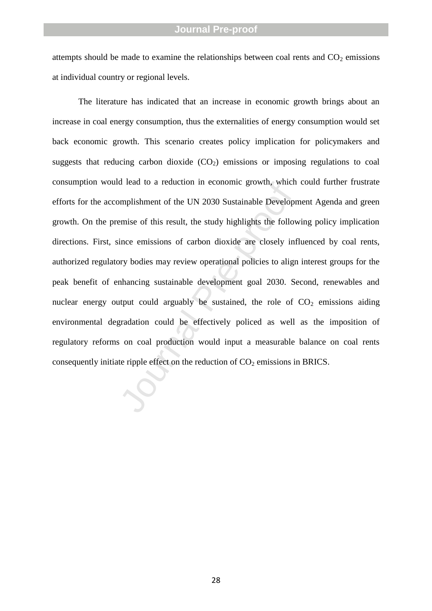attempts should be made to examine the relationships between coal rents and  $CO<sub>2</sub>$  emissions at individual country or regional levels.

mplishment of the UN 2030 Sustainable Developremise of this result, the study highlights the follow<br>ince emissions of carbon dioxide are closely informy bodies may review operational policies to align<br>nhancing sustainable The literature has indicated that an increase in economic growth brings about an increase in coal energy consumption, thus the externalities of energy consumption would set back economic growth. This scenario creates policy implication for policymakers and suggests that reducing carbon dioxide (CO <sup>2</sup>) emissions or imposing regulations to coal consumption would lead to a reduction in economic growth, which could further frustrate efforts for the accomplishment of the UN 2030 Sustainable Development Agenda and green growth. On the premise of this result, the study highlights the following policy implication directions. First, since emissions of carbon dioxide are closely influenced by coal rents, authorized regulatory bodies may review operational policies to align interest groups for the peak benefit of enhancing sustainable development goal 2030. Second, renewables and nuclear energy output could arguably be sustained, the role of  $CO<sub>2</sub>$  emissions aiding environmental degradation could be effectively policed as well as the imposition of regulatory reforms on coal production would input a measurable balance on coal rents consequently initiate ripple effect on the reduction of  $CO<sub>2</sub>$  emissions in BRICS.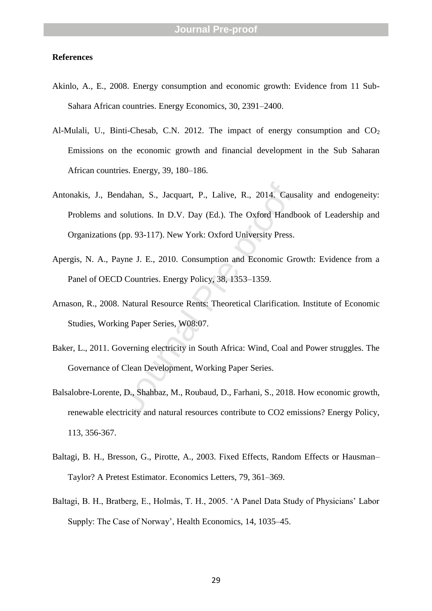#### **References**

- Akinlo, A., E., 2008. Energy consumption and economic growth: Evidence from 11 Sub Sahara African countries. Energy Economics, 30, 2391 –2400.
- Al-Mulali, U., Binti-Chesab, C.N. 2012. The impact of energy consumption and CO<sub>2</sub> Emissions on the economic growth and financial development in the Sub Saharan African countries. Energy, 39, 180 –186.
- ndahan, S., Jacquart, P., Lalive, R., 2014. Caus<br>solutions. In D.V. Day (Ed.). The Oxford Handb<br>(pp. 93-117). New York: Oxford University Press.<br>ayne J. E., 2010. Consumption and Economic Gre<br>D Countries. Energy Policy, 38 Antonakis, J., Bendahan, S., Jacquart, P., Lalive, R., 2014. Causality and endogeneity: Problems and solutions. In D.V. Day (Ed.). The Oxford Handbook of Leadership and Organizations (pp. 93 -117). New York: Oxford University Press.
- Apergis, N. A., Payne J. E., 2010. Consumption and Economic Growth: Evidence from a Panel of OECD Countries. Energy Policy, 38, 1353 –1359.
- Arnason, R., 2008. Natural Resource Rents: Theoretical Clarification. Institute of Economic Studies, Working Paper Series, W08:07.
- Baker, L., 2011. Governing electricity in South Africa: Wind, Coal and Power struggles. The Governance of Clean Development, Working Paper Series.
- Balsalobre -Lorente, D., Shahbaz, M., Roubaud, D., Farhani, S., 2018. How economic growth, renewable electricity and natural resources contribute to CO2 emissions? Energy Policy, 113, 356 -367.
- Baltagi, B. H., Bresson, G., Pirotte, A., 2003. Fixed Effects, Random Effects or Hausman Taylor? A Pretest Estimator. Economics Letters, 79, 361 –369.
- Baltagi, B. H., Bratberg, E., Holmås, T. H., 2005. 'A Panel Data Study of Physicians' Labor Supply: The Case of Norway', Health Economics, 14, 1035 –45.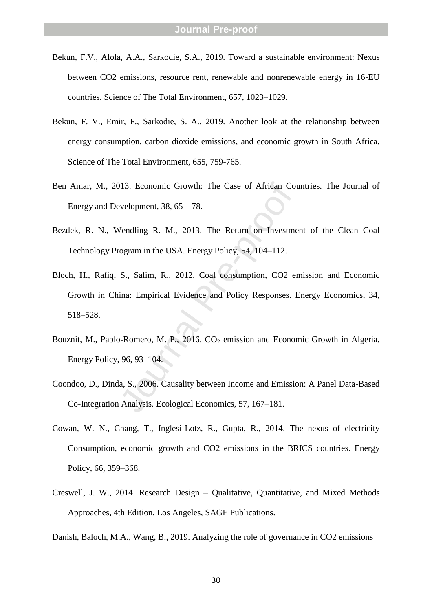- Bekun, F.V., Alola, A.A., Sarkodie, S.A., 2019. Toward a sustainable environment: Nexus between CO2 emissions, resource rent, renewable and nonrenewable energy in 16 -EU countries. Science of The Total Environment, 657, 1023 –1029.
- Bekun, F. V., Emir, F., Sarkodie, S. A., 2019. Another look at the relationship between energy consumption, carbon dioxide emissions, and economic growth in South Africa. Science of The Total Environment, 655, 759 -765.
- Ben Amar, M., 2013. Economic Growth: The Case of African Countries. The Journal of Energy and Development, 38, 65 – 78.
- Bezdek, R. N., Wendling R. M., 2013. The Return on Investment of the Clean Coal Technology Program in the USA. Energy Policy, 54, 104 –112.
- 913. Economic Growth: The Case of African Convelopment, 38, 65 78.<br>Vendling R. M., 2013. The Return on Investme ogram in the USA. Energy Policy, 54, 104–112.<br>S., Salim, R., 2012. Coal consumption, CO2 er ina: Empirical Bloch, H., Rafiq, S., Salim, R., 2012. Coal consumption, CO2 emission and Economic Growth in China: Empirical Evidence and Policy Responses. Energy Economics, 34, 518 –528.
- Bouznit, M., Pablo-Romero, M. P., 2016. CO<sub>2</sub> emission and Economic Growth in Algeria. Energy Policy, 96, 93 –104.
- Coondoo, D., Dinda, S., 2006. Causality between Income and Emission: A Panel Data -Based Co -Integration Analysis. Ecological Economics, 57, 167 –181.
- Cowan, W. N., Chang, T., Inglesi -Lotz, R., Gupta, R., 2014. The nexus of electricity Consumption, economic growth and CO2 emissions in the BRICS countries. Energy Policy, 66, 359 –368.
- Creswell, J. W., 2014. Research Design Qualitative, Quantitative, and Mixed Methods Approaches, 4th Edition, Los Angeles, SAGE Publications.
- Danish, Baloch, M.A., Wang, B., 2019. Analyzing the role of governance in CO2 emissions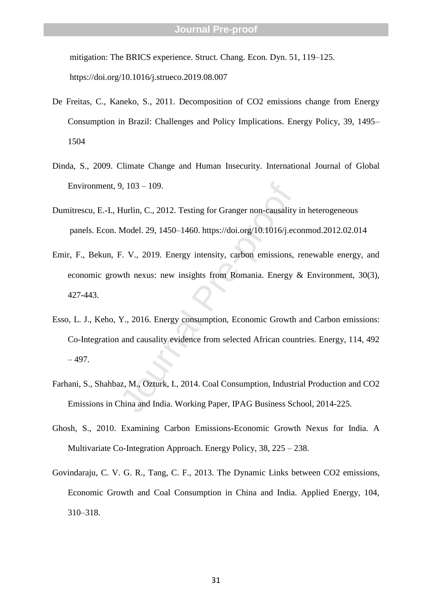mitigation: The BRICS experience. Struct. Chang. Econ. Dyn. 51, 119 –125. https://doi.org/10.1016/j.strueco.2019.08.007

- De Freitas, C., Kaneko, S., 2011. Decomposition of CO2 emissions change from Energy Consumption in Brazil: Challenges and Policy Implications. Energy Policy, 39, 1495 – 1504
- Dinda, S., 2009. Climate Change and Human Insecurity. International Journal of Global Environment, 9, 103 – 109.
- Dumitrescu, E. -I., Hurlin, C., 2012. Testing for Granger non -causality in heterogeneous panels. Econ. Model. 29, 1450 –1460. https://doi.org/10.1016/j.econmod.2012.02.014
- Emir, F., Bekun, F. V., 2019. Energy intensity, carbon emissions, renewable energy, and economic growth nexus: new insights from Romania. Energy & Environment, 30(3), 427 -443.
- 9, 103 109.<br>Hurlin, C., 2012. Testing for Granger non-causality<br>Model. 29, 1450–1460. https://doi.org/10.1016/j.ec<br>F. V., 2019. Energy intensity, carbon emissions,<br>wth nexus: new insights from Romania. Energy<br>Y., 2016. E Esso, L. J., Keho, Y., 2016. Energy consumption, Economic Growth and Carbon emissions: Co -Integration and causality evidence from selected African countries. Energy, 114, 492 – 497.
- Farhani, S., Shahbaz, M., Ozturk, I., 2014. Coal Consumption, Industrial Production and CO2 Emissions in China and India. Working Paper, IPAG Business School, 2014 -225.
- Ghosh, S., 2010. Examining Carbon Emissions -Economic Growth Nexus for India. A Multivariate Co -Integration Approach. Energy Policy, 38, 225 – 238.
- Govindaraju, C. V. G. R., Tang, C. F., 2013. The Dynamic Links between CO2 emissions, Economic Growth and Coal Consumption in China and India. Applied Energy, 104, 310 –318.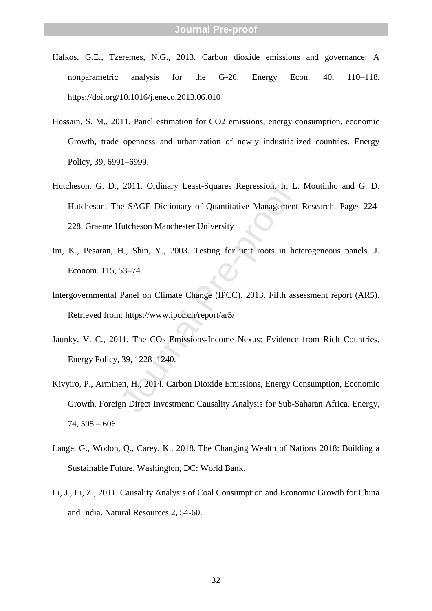- Halkos, G.E., Tzeremes, N.G., 2013. Carbon dioxide emissions and governance: A nonparametric analysis for the G-20. Energy Econ. 40, –118. https://doi.org/10.1016/j.eneco.2013.06.010
- Hossain, S. M., 2011. Panel estimation for CO2 emissions, energy consumption, economic Growth, trade openness and urbanization of newly industrialized countries. Energy Policy, 39, 6991 –6999.
- 2011. Ordinary Least-Squares Regression. In L<br>
ale SAGE Dictionary of Quantitative Management<br>
Hutcheson Manchester University<br>
H., Shin, Y., 2003. Testing for unit roots in he<br>
53–74.<br>
Panel on Climate Change (IPCC). 2013 Hutcheson, G. D., 2011. Ordinary Least -Squares Regression. In L. Moutinho and G. D. Hutcheson. The SAGE Dictionary of Quantitative Management Research. Pages 224 - 228. Graeme Hutcheson Manchester University
- Im, K., Pesaran, H., Shin, Y., 2003. Testing for unit roots in heterogeneous panels. J. Econom. 115, 53 –74.
- Intergovernmental Panel on Climate Change (IPCC). 2013. Fifth assessment report (AR5). Retrieved from: https://www.ipcc.ch/report/ar5/
- Jaunky, V. C., 2011. The CO<sub>2</sub> Emissions-Income Nexus: Evidence from Rich Countries. Energy Policy, 39, 1228 –1240.
- Kivyiro, P., Arminen, H., 2014. Carbon Dioxide Emissions, Energy Consumption, Economic Growth, Foreign Direct Investment: Causality Analysis for Sub -Saharan Africa. Energy,  $74, 595 - 606.$
- Lange, G., Wodon, Q., Carey, K., 2018. The Changing Wealth of Nations 2018: Building a Sustainable Future. Washington, DC: World Bank.
- Li, J., Li, Z., 2011. Causality Analysis of Coal Consumption and Economic Growth for China and India. Natural Resources 2, 54 -60.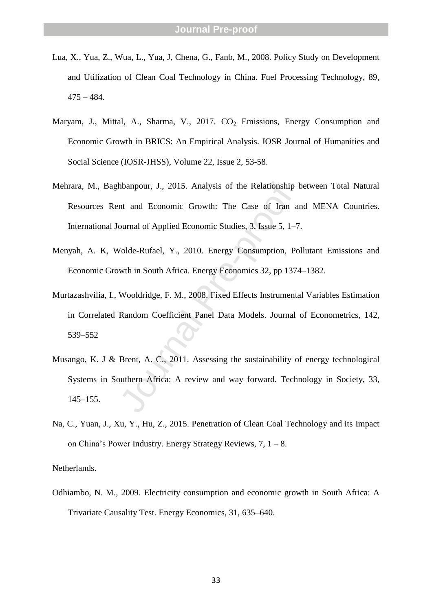- Lua, X., Yua, Z., Wua, L., Yua, J, Chena, G., Fanb, M., 2008. Policy Study on Development and Utilization of Clean Coal Technology in China. Fuel Processing Technology, 89, 475 – 484.
- Maryam, J., Mittal, A., Sharma, V., 2017. CO<sub>2</sub> Emissions, Energy Consumption and Economic Growth in BRICS: An Empirical Analysis. IOSR Journal of Humanities and Social Science (IOSR -JHSS), Volume 22, Issue 2, 53 -58.
- Mehrara, M., Baghbanpour, J., 2015. Analysis of the Relationship between Total Natural Resources Rent and Economic Growth: The Case of Iran and MENA Countries. International Journal of Applied Economic Studies, 3, Issue 5, 1 –7.
- Menyah, A. K, Wolde -Rufael, Y., 2010. Energy Consumption, Pollutant Emissions and Economic Growth in South Africa. Energy Economics 32, pp 1374 –1382.
- Murtazashvilia, I., Wooldridge, F. M., 2008. Fixed Effects Instrumental Variables Estimation in Correlated Random Coefficient Panel Data Models. Journal of Econometrics, 142, 539 –552
- hbanpour, J., 2015. Analysis of the Relationship<br>nt and Economic Growth: The Case of Iran a<br>ournal of Applied Economic Studies, 3, Issue 5, 1–7<br>Volde-Rufael, Y., 2010. Energy Consumption, Pe<br>wth in South Africa. Energy Eco Musango, K. J & Brent, A. C., 2011. Assessing the sustainability of energy technological Systems in Southern Africa: A review and way forward. Technology in Society, 33, 145 –155.
- Na, C., Yuan, J., Xu, Y., Hu, Z., 2015. Penetration of Clean Coal Technology and its Impact on China's Power Industry. Energy Strategy Reviews, 7, 1 – 8.

Netherlands.

Odhiambo, N. M., 2009. Electricity consumption and economic growth in South Africa: A Trivariate Causality Test. Energy Economics, 31, 635 –640.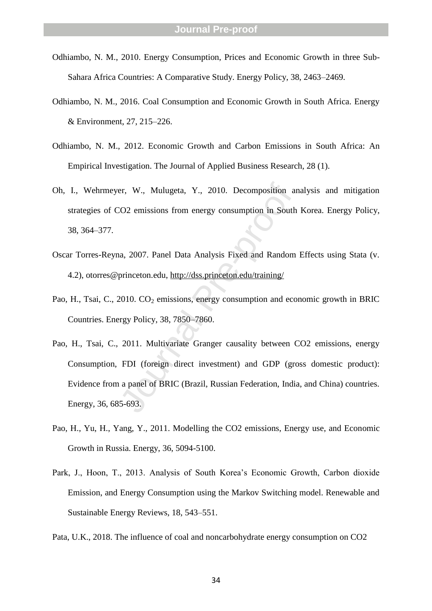- Odhiambo, N. M., 2010. Energy Consumption, Prices and Economic Growth in three Sub Sahara Africa Countries: A Comparative Study. Energy Policy, 38, 2463 –2469.
- Odhiambo, N. M., 2016. Coal Consumption and Economic Growth in South Africa. Energy & Environment, 27, 215 –226.
- Odhiambo, N. M., 2012. Economic Growth and Carbon Emissions in South Africa: An Empirical Investigation. The Journal of Applied Business Research, 28 (1).
- Oh, I., Wehrmeyer, W., Mulugeta, Y., 2010. Decomposition analysis and mitigation strategies of CO2 emissions from energy consumption in South Korea. Energy Policy, 38, 364 –377.
- Oscar Torres -Reyna, 2007. Panel Data Analysis Fixed and Random Effects using Stata (v. 4.2), otorres@princeton.edu, http://dss.princeton.edu/training/
- Pao, H., Tsai, C., 2010. CO<sub>2</sub> emissions, energy consumption and economic growth in BRIC Countries. Energy Policy, 38, 7850 –7860.
- er, W., Mulugeta, Y., 2010. Decomposition an<br>
CO2 emissions from energy consumption in South<br>
a., 2007. Panel Data Analysis Fixed and Random<br>
princeton.edu, http://dss.princeton.edu/training/<br>
2010. CO<sub>2</sub> emissions, energy Pao, H., Tsai, C., 2011. Multivariate Granger causality between CO2 emissions, energy Consumption, FDI (foreign direct investment) and GDP (gross domestic product): Evidence from a panel of BRIC (Brazil, Russian Federation, India, and China) countries. Energy, 36, 685 -693.
- Pao, H., Yu, H., Yang, Y., 2011. Modelling the CO2 emissions, Energy use, and Economic Growth in Russia. Energy, 36, 5094 -5100.
- Park, J., Hoon, T., 2013. Analysis of South Korea's Economic Growth, Carbon dioxide Emission, and Energy Consumption using the Markov Switching model. Renewable and Sustainable Energy Reviews, 18, 543 –551.
- Pata, U.K., 2018. The influence of coal and noncarbohydrate energy consumption on CO2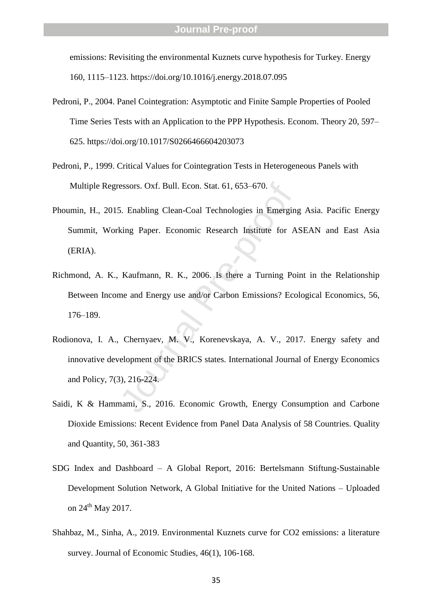emissions: Revisiting the environmental Kuznets curve hypothesis for Turkey. Energy 160, 1115 –1123. https://doi.org/10.1016/j.energy.2018.07.095

- Pedroni, P., 2004. Panel Cointegration: Asymptotic and Finite Sample Properties of Pooled Time Series Tests with an Application to the PPP Hypothesis. Econom. Theory 20, 597 – 625. https://doi.org/10.1017/S0266466604203073
- Pedroni, P., 1999. Critical Values for Cointegration Tests in Heterogeneous Panels with Multiple Regressors. Oxf. Bull. Econ. Stat. 61, 653 –670.
- Phoumin, H., 2015. Enabling Clean -Coal Technologies in Emerging Asia. Pacific Energy Summit, Working Paper. Economic Research Institute for ASEAN and East Asia (ERIA).
- Richmond, A. K., Kaufmann, R. K., 2006. Is there a Turning Point in the Relationship Between Income and Energy use and/or Carbon Emissions? Ecological Economics, 56, 176 –189.
- essors. Oxf. Bull. Econ. Stat. 61, 653–670.<br>
5. Enabling Clean-Coal Technologies in Emergin<br>
king Paper. Economic Research Institute for A<br>
Kaufmann, R. K., 2006. Is there a Turning Poi<br>
me and Energy use and/or Carbon Emi Rodionova, I. A., Chernyaev, M. V., Korenevskaya, A. V., 2017. Energy safety and innovative development of the BRICS states. International Journal of Energy Economics and Policy, 7(3), 216 -224.
- Saidi, K & Hammami, S., 2016. Economic Growth, Energy Consumption and Carbone Dioxide Emissions: Recent Evidence from Panel Data Analysis of 58 Countries. Quality and Quantity, 50, 361 -383
- SDG Index and Dashboard A Global Report, 2016: Bertelsmann Stiftung -Sustainable Development Solution Network, A Global Initiative for the United Nations – Uploaded on  $24<sup>th</sup>$  May 2017.
- Shahbaz, M., Sinha, A., 2019. Environmental Kuznets curve for CO2 emissions: a literature survey. Journal of Economic Studies, 46(1), 106-168.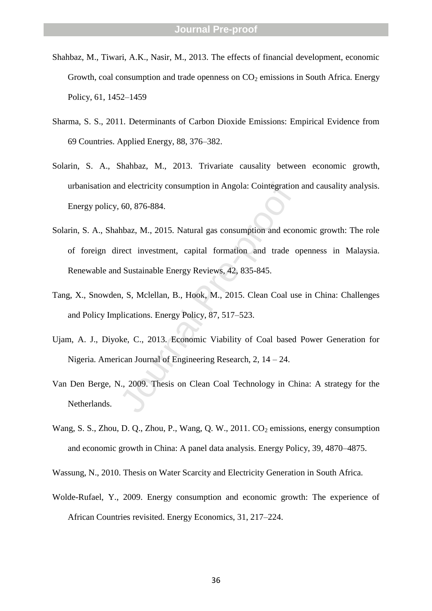- Shahbaz, M., Tiwari, A.K., Nasir, M., 2013. The effects of financial development, economic Growth, coal consumption and trade openness on  $CO_2$  emissions in South Africa. Energy Policy, 61, 1452 –1459
- Sharma, S. S., 2011. Determinants of Carbon Dioxide Emissions: Empirical Evidence from 69 Countries. Applied Energy, 88, 376 –382.
- Solarin, S. A., Shahbaz, M., 2013. Trivariate causality between economic growth, urbanisation and electricity consumption in Angola: Cointegration and causality analysis. Energy policy, 60, 876 -884.
- nd electricity consumption in Angola: Cointegration<br>
60, 876-884.<br>
hbaz, M., 2015. Natural gas consumption and ecor<br>
rect investment, capital formation and trade c<br>
1 Sustainable Energy Reviews, 42, 835-845.<br>
n, S, Mclella Solarin, S. A., Shahbaz, M., 2015. Natural gas consumption and economic growth: The role of foreign direct investment, capital formation and trade openness in Malaysia. Renewable and Sustainable Energy Reviews, 42, 835 -845.
- Tang, X., Snowden, S, Mclellan, B., Hook, M., 2015. Clean Coal use in China: Challenges and Policy Implications. Energy Policy, 87, 517 –523.
- Ujam, A. J., Diyoke, C., 2013. Economic Viability of Coal based Power Generation for Nigeria. American Journal of Engineering Research, 2, 14 – 24.
- Van Den Berge, N., 2009. Thesis on Clean Coal Technology in China: A strategy for the Netherlands.
- Wang, S. S., Zhou, D. Q., Zhou, P., Wang, Q. W., 2011. CO <sup>2</sup> emissions, energy consumption and economic growth in China: A panel data analysis. Energy Policy, 39, 4870 –4875.

Wassung, N., 2010. Thesis on Water Scarcity and Electricity Generation in South Africa.

Wolde -Rufael, Y., 2009. Energy consumption and economic growth: The experience of African Countries revisited. Energy Economics, 31, 217 –224.